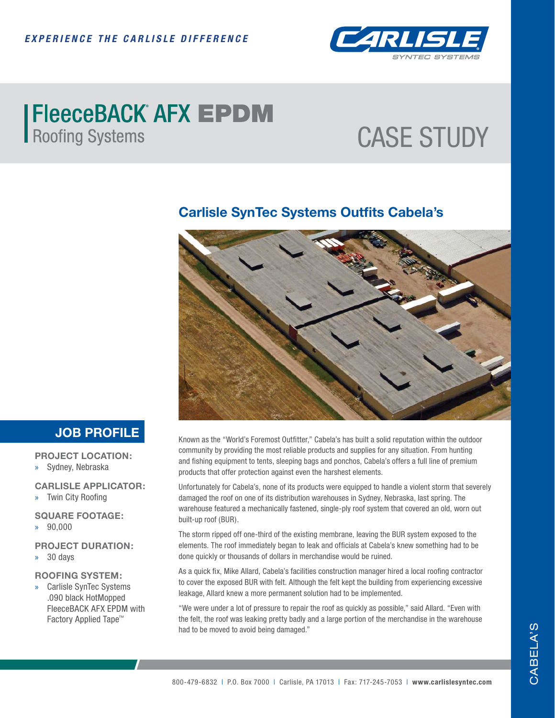

# **FleeceBACK AFX EPDM**<br>Roofing Systems

## CASE STUDY

#### **Carlisle SynTec Systems Outfits Cabela's**



### **JOB PROFILE**

**PROJECT LOCATION:**

» Sydney, Nebraska

**CARLISLE APPLICATOR:**

» Twin City Roofing

**SQUARE FOOTAGE:**

» 90,000

**PROJECT DURATION:**

» 30 days

#### **ROOFING SYSTEM:**

» Carlisle SynTec Systems .090 black HotMopped FleeceBACK AFX EPDM with Factory Applied Tape™

Known as the "World's Foremost Outfitter," Cabela's has built a solid reputation within the outdoor community by providing the most reliable products and supplies for any situation. From hunting and fishing equipment to tents, sleeping bags and ponchos, Cabela's offers a full line of premium products that offer protection against even the harshest elements.

Unfortunately for Cabela's, none of its products were equipped to handle a violent storm that severely damaged the roof on one of its distribution warehouses in Sydney, Nebraska, last spring. The warehouse featured a mechanically fastened, single-ply roof system that covered an old, worn out built-up roof (BUR).

The storm ripped off one-third of the existing membrane, leaving the BUR system exposed to the elements. The roof immediately began to leak and officials at Cabela's knew something had to be done quickly or thousands of dollars in merchandise would be ruined.

As a quick fix, Mike Allard, Cabela's facilities construction manager hired a local roofing contractor to cover the exposed BUR with felt. Although the felt kept the building from experiencing excessive leakage, Allard knew a more permanent solution had to be implemented.

"We were under a lot of pressure to repair the roof as quickly as possible," said Allard. "Even with the felt, the roof was leaking pretty badly and a large portion of the merchandise in the warehouse had to be moved to avoid being damaged."